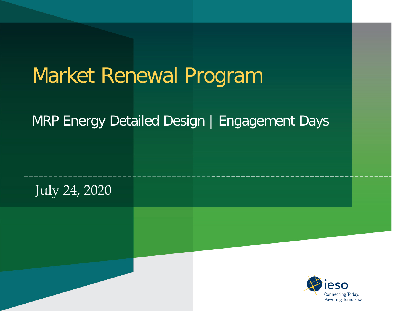# Market Renewal Program

#### MRP Energy Detailed Design | Engagement Days



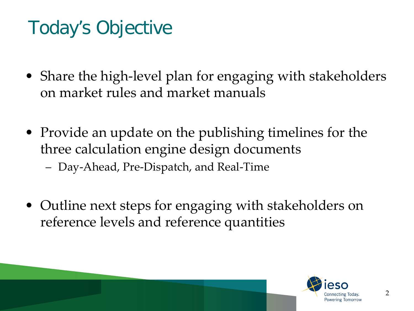## Today's Objective

- Share the high-level plan for engaging with stakeholders on market rules and market manuals
- Provide an update on the publishing timelines for the three calculation engine design documents
	- Day-Ahead, Pre-Dispatch, and Real-Time
- Outline next steps for engaging with stakeholders on reference levels and reference quantities

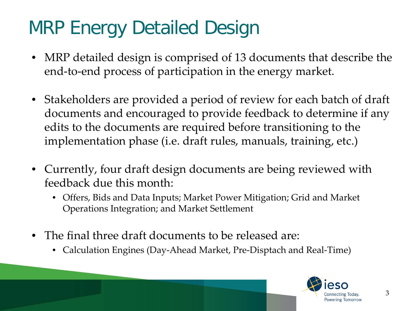#### MRP Energy Detailed Design

- MRP detailed design is comprised of 13 documents that describe the end-to-end process of participation in the energy market.
- Stakeholders are provided a period of review for each batch of draft documents and encouraged to provide feedback to determine if any edits to the documents are required before transitioning to the implementation phase (i.e. draft rules, manuals, training, etc.)
- Currently, four draft design documents are being reviewed with feedback due this month:
	- Offers, Bids and Data Inputs; Market Power Mitigation; Grid and Market Operations Integration; and Market Settlement
- The final three draft documents to be released are:
	- Calculation Engines (Day-Ahead Market, Pre-Disptach and Real-Time)

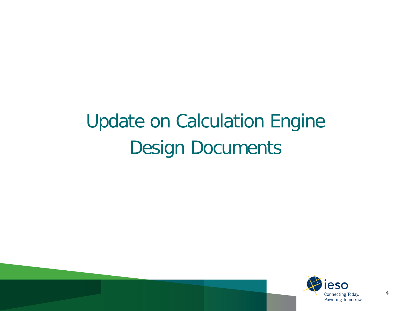# Update on Calculation Engine Design Documents

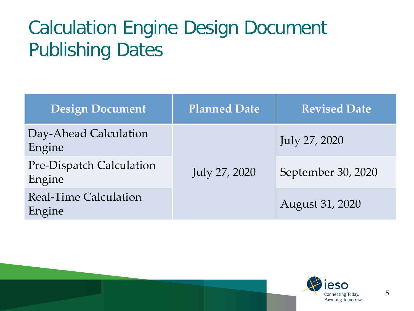## Calculation Engine Design Document Publishing Dates

| <b>Design Document</b>                 | <b>Planned Date</b> | <b>Revised Date</b> |
|----------------------------------------|---------------------|---------------------|
| Day-Ahead Calculation<br>Engine        | July 27, 2020       | July 27, 2020       |
| Pre-Dispatch Calculation<br>Engine     |                     | September 30, 2020  |
| <b>Real-Time Calculation</b><br>Engine |                     | August 31, 2020     |

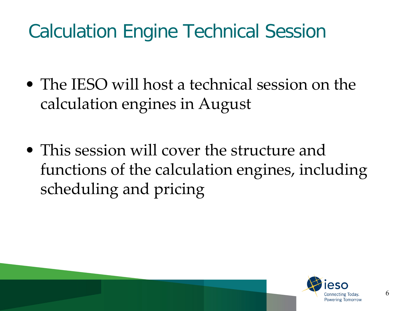## Calculation Engine Technical Session

- The IESO will host a technical session on the calculation engines in August
- This session will cover the structure and functions of the calculation engines, including scheduling and pricing

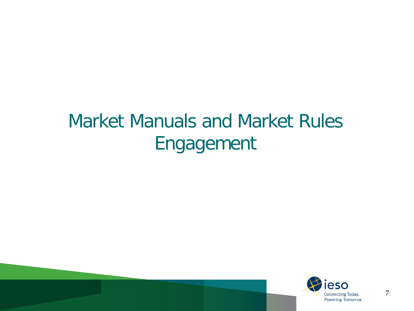#### Market Manuals and Market Rules Engagement

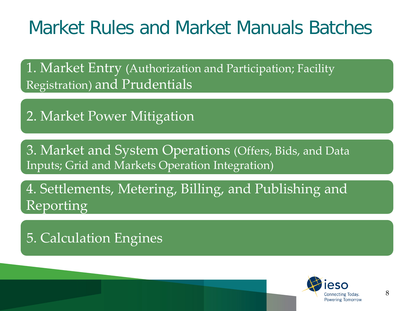#### Market Rules and Market Manuals Batches

1. Market Entry (Authorization and Participation; Facility Registration) and Prudentials

2. Market Power Mitigation

3. Market and System Operations (Offers, Bids, and Data Inputs; Grid and Markets Operation Integration)

4. Settlements, Metering, Billing, and Publishing and Reporting

5. Calculation Engines

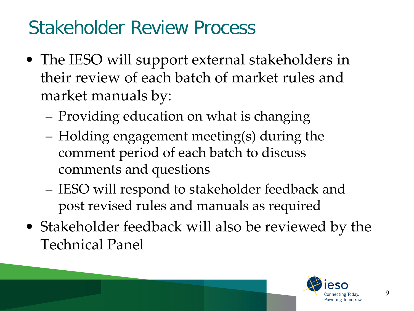#### Stakeholder Review Process

- The IESO will support external stakeholders in their review of each batch of market rules and market manuals by:
	- Providing education on what is changing
	- Holding engagement meeting(s) during the comment period of each batch to discuss comments and questions
	- IESO will respond to stakeholder feedback and post revised rules and manuals as required
- Stakeholder feedback will also be reviewed by the Technical Panel

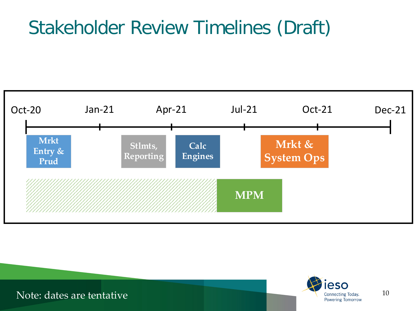#### Stakeholder Review Timelines (Draft)





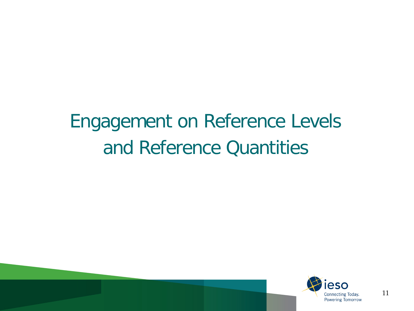# Engagement on Reference Levels and Reference Quantities

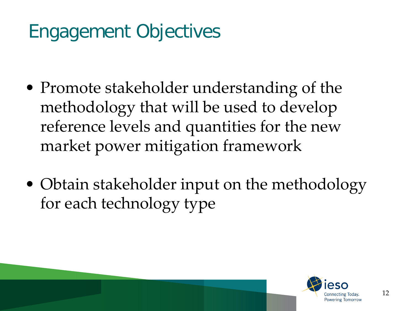## Engagement Objectives

- Promote stakeholder understanding of the methodology that will be used to develop reference levels and quantities for the new market power mitigation framework
- Obtain stakeholder input on the methodology for each technology type

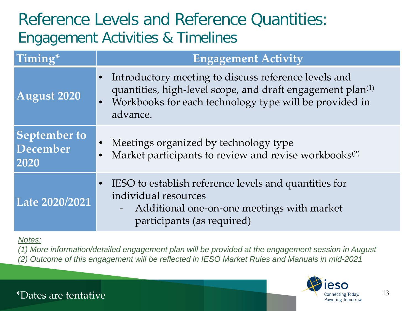#### Reference Levels and Reference Quantities: Engagement Activities & Timelines

| Timing*                                 | <b>Engagement Activity</b>                                                                                                                                                                                                     |
|-----------------------------------------|--------------------------------------------------------------------------------------------------------------------------------------------------------------------------------------------------------------------------------|
| August 2020                             | Introductory meeting to discuss reference levels and<br>$\bullet$<br>quantities, high-level scope, and draft engagement plan <sup>(1)</sup><br>Workbooks for each technology type will be provided in<br>$\bullet$<br>advance. |
| <b>September to</b><br>December<br>2020 | Meetings organized by technology type<br>$\bullet$<br>Market participants to review and revise workbooks <sup>(2)</sup>                                                                                                        |
| Late 2020/2021                          | IESO to establish reference levels and quantities for<br>$\bullet$<br>individual resources<br>Additional one-on-one meetings with market<br>$\blacksquare$<br>participants (as required)                                       |

#### *Notes:*

*(1) More information/detailed engagement plan will be provided at the engagement session in August (2) Outcome of this engagement will be reflected in IESO Market Rules and Manuals in mid-2021*

#### \*Dates are tentative

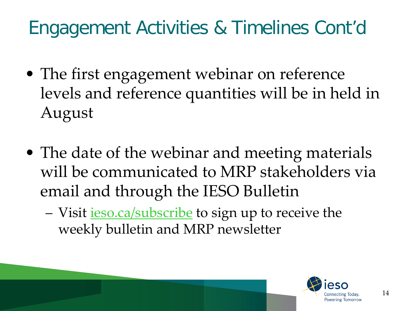#### Engagement Activities & Timelines Cont'd

- The first engagement webinar on reference levels and reference quantities will be in held in August
- The date of the webinar and meeting materials will be communicated to MRP stakeholders via email and through the IESO Bulletin
	- Visit [ieso.ca/subscribe](http://www.ieso.ca/subscribe) to sign up to receive the weekly bulletin and MRP newsletter

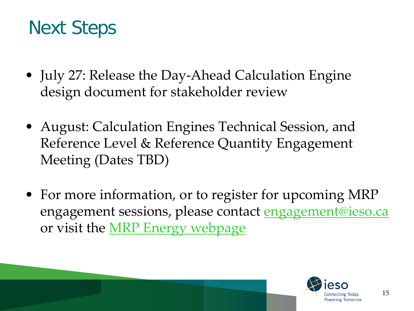#### Next Steps

- July 27: Release the Day-Ahead Calculation Engine design document for stakeholder review
- August: Calculation Engines Technical Session, and Reference Level & Reference Quantity Engagement Meeting (Dates TBD)
- For more information, or to register for upcoming MRP engagement sessions, please contact **engagement@ieso.ca** or visit the [MRP Energy webpage](http://www.ieso.ca/Market-Renewal/Stakeholder-Engagements/Energy-Detailed-Design-Engagement)